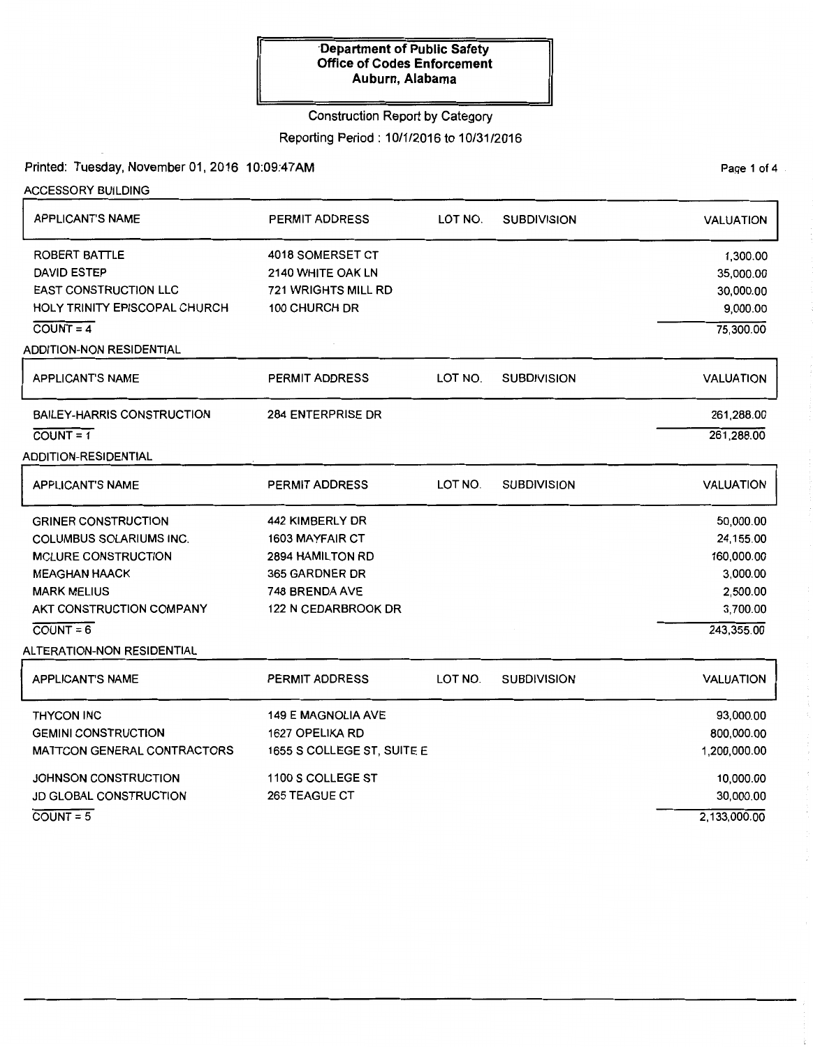Construction Report by Category

# Reporting Period: 10/1/2016 to 10/31/2016

## Printed: Tuesday, November01, 2016 10:09:47AM

ACCESSORY BUILDING

PaQe 1 of 4

| <b>APPLICANT'S NAME</b>           | <b>PERMIT ADDRESS</b>      | LOT NO. | <b>SUBDIVISION</b> | <b>VALUATION</b> |
|-----------------------------------|----------------------------|---------|--------------------|------------------|
| ROBERT BATTLE                     | 4018 SOMERSET CT           |         |                    | 1,300.00         |
| <b>DAVID ESTEP</b>                | 2140 WHITE OAK LN          |         |                    | 35,000.00        |
| <b>EAST CONSTRUCTION LLC</b>      | 721 WRIGHTS MILL RD        |         |                    | 30,000.00        |
| HOLY TRINITY EPISCOPAL CHURCH     | 100 CHURCH DR              |         |                    | 9,000.00         |
| $\overline{COUNT} = 4$            |                            |         |                    | 75,300.00        |
| ADDITION-NON RESIDENTIAL          |                            |         |                    |                  |
| <b>APPLICANT'S NAME</b>           | <b>PERMIT ADDRESS</b>      | LOT NO. | <b>SUBDIVISION</b> | <b>VALUATION</b> |
| <b>BAILEY-HARRIS CONSTRUCTION</b> | 284 ENTERPRISE DR          |         |                    | 261,288.00       |
| $COUNT = 1$                       |                            |         |                    | 261,288.00       |
| ADDITION-RESIDENTIAL              |                            |         |                    |                  |
| <b>APPLICANT'S NAME</b>           | <b>PERMIT ADDRESS</b>      | LOT NO. | <b>SUBDIVISION</b> | <b>VALUATION</b> |
| <b>GRINER CONSTRUCTION</b>        | 442 KIMBERLY DR            |         |                    | 50,000.00        |
| COLUMBUS SOLARIUMS INC.           | 1603 MAYFAIR CT            |         |                    | 24,155.00        |
| <b>MCLURE CONSTRUCTION</b>        | <b>2894 HAMILTON RD</b>    |         |                    | 160,000.00       |
| <b>MEAGHAN HAACK</b>              | 365 GARDNER DR             |         |                    | 3,000.00         |
| <b>MARK MELIUS</b>                | 748 BRENDA AVE             |         |                    | 2,500.00         |
| AKT CONSTRUCTION COMPANY          | <b>122 N CEDARBROOK DR</b> |         |                    | 3,700.00         |
| $COUNT = 6$                       |                            |         |                    | 243,355.00       |
| <b>ALTERATION-NON RESIDENTIAL</b> |                            |         |                    |                  |
| <b>APPLICANT'S NAME</b>           | <b>PERMIT ADDRESS</b>      | LOT NO. | <b>SUBDIVISION</b> | <b>VALUATION</b> |
| <b>THYCON INC</b>                 | <b>149 E MAGNOLIA AVE</b>  |         |                    | 93,000.00        |
| <b>GEMINI CONSTRUCTION</b>        | 1627 OPELIKA RD            |         |                    | 800,000.00       |
| MATTCON GENERAL CONTRACTORS       | 1655 S COLLEGE ST, SUITE E |         |                    | 1,200,000.00     |
| JOHNSON CONSTRUCTION              | 1100 S COLLEGE ST          |         |                    | 10,000.00        |
| <b>JD GLOBAL CONSTRUCTION</b>     | <b>265 TEAGUE CT</b>       |         |                    | 30,000.00        |
| $COUNT = 5$                       |                            |         |                    | 2,133,000.00     |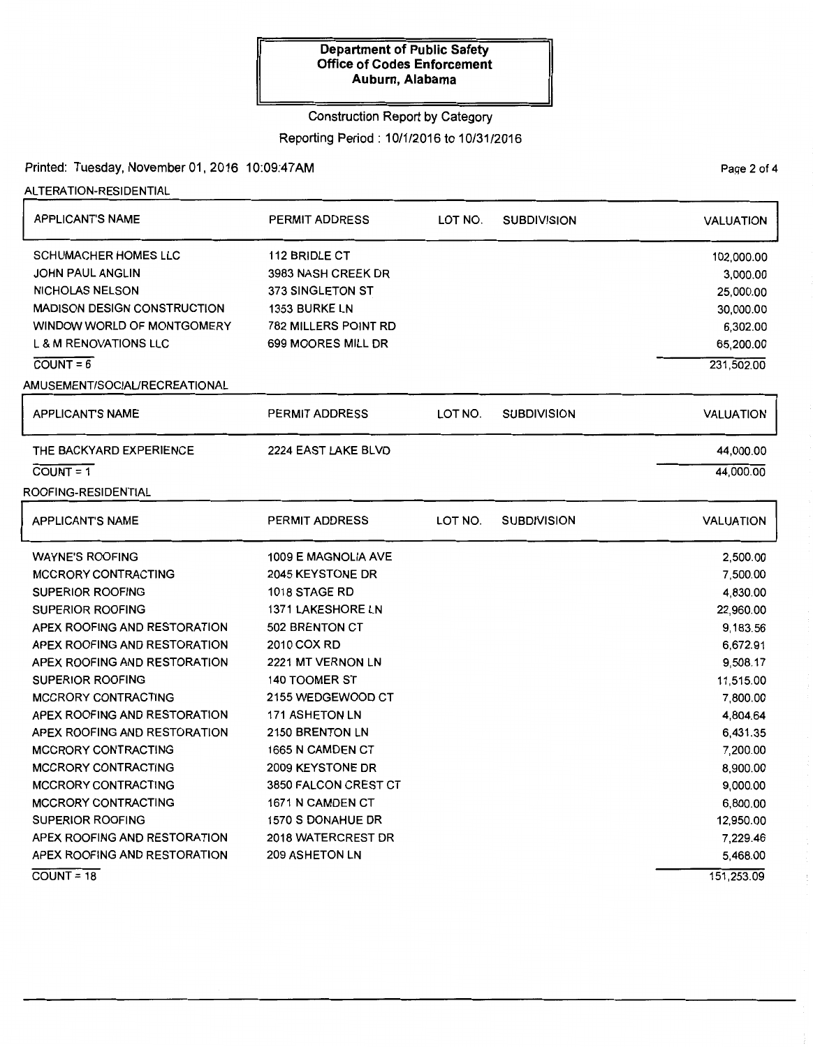## Construction Report by Category

### Reporting Period: 10/1/2016 to 10/31/2016

## Printed: Tuesday, November 01, 2016 10:09:47AM

ALTERATION-RESIDENTIAL

| <b>APPLICANT'S NAME</b>            | <b>PERMIT ADDRESS</b>       | LOT NO. | <b>SUBDIVISION</b> | <b>VALUATION</b> |
|------------------------------------|-----------------------------|---------|--------------------|------------------|
| <b>SCHUMACHER HOMES LLC</b>        | 112 BRIDLE CT               |         |                    | 102,000.00       |
| <b>JOHN PAUL ANGLIN</b>            | 3983 NASH CREEK DR          |         |                    | 3,000.00         |
| NICHOLAS NELSON                    | 373 SINGLETON ST            |         |                    | 25,000.00        |
| <b>MADISON DESIGN CONSTRUCTION</b> | 1353 BURKE LN               |         |                    | 30,000.00        |
| WINDOW WORLD OF MONTGOMERY         | <b>782 MILLERS POINT RD</b> |         |                    | 6,302.00         |
| <b>L &amp; M RENOVATIONS LLC</b>   | 699 MOORES MILL DR          |         |                    | 65,200.00        |
| $COUNT = 6$                        |                             |         |                    | 231,502.00       |
| AMUSEMENT/SOCIAL/RECREATIONAL      |                             |         |                    |                  |
| <b>APPLICANT'S NAME</b>            | <b>PERMIT ADDRESS</b>       | LOT NO. | <b>SUBDIVISION</b> | <b>VALUATION</b> |
| THE BACKYARD EXPERIENCE            | 2224 EAST LAKE BLVD         |         |                    | 44,000.00        |
| $COUNT = 1$                        |                             |         |                    | 44,000.00        |
| ROOFING-RESIDENTIAL                |                             |         |                    |                  |
| <b>APPLICANT'S NAME</b>            | <b>PERMIT ADDRESS</b>       | LOT NO. | <b>SUBDIVISION</b> | <b>VALUATION</b> |
| <b>WAYNE'S ROOFING</b>             | 1009 E MAGNOLIA AVE         |         |                    | 2,500.00         |
| <b>MCCRORY CONTRACTING</b>         | 2045 KEYSTONE DR            |         |                    | 7,500.00         |
| <b>SUPERIOR ROOFING</b>            | 1018 STAGE RD               |         |                    | 4,830.00         |
| <b>SUPERIOR ROOFING</b>            | <b>1371 LAKESHORE LN</b>    |         |                    | 22,960.00        |
| APEX ROOFING AND RESTORATION       | 502 BRENTON CT              |         |                    | 9,183.56         |
| APEX ROOFING AND RESTORATION       | 2010 COX RD                 |         |                    | 6,672.91         |
| APEX ROOFING AND RESTORATION       | 2221 MT VERNON LN           |         |                    | 9,508.17         |
| <b>SUPERIOR ROOFING</b>            | 140 TOOMER ST               |         |                    | 11,515.00        |
| <b>MCCRORY CONTRACTING</b>         | 2155 WEDGEWOOD CT           |         |                    | 7,800.00         |
| APEX ROOFING AND RESTORATION       | <b>171 ASHETON LN</b>       |         |                    | 4,804.64         |
| APEX ROOFING AND RESTORATION       | 2150 BRENTON LN             |         |                    | 6,431.35         |
| <b>MCCRORY CONTRACTING</b>         | 1665 N CAMDEN CT            |         |                    | 7,200.00         |
| MCCRORY CONTRACTING                | 2009 KEYSTONE DR            |         |                    | 8,900.00         |
| <b>MCCRORY CONTRACTING</b>         | 3850 FALCON CREST CT        |         |                    | 9,000.00         |
| MCCRORY CONTRACTING                | 1671 N CAMDEN CT            |         |                    | 6,800.00         |
| <b>SUPERIOR ROOFING</b>            | 1570 S DONAHUE DR           |         |                    | 12,950.00        |
| APEX ROOFING AND RESTORATION       | 2018 WATERCREST DR          |         |                    | 7,229.46         |
| APEX ROOFING AND RESTORATION       | <b>209 ASHETON LN</b>       |         |                    | 5,468.00         |
| $COUNT = 18$                       |                             |         |                    | 151.253.09       |

PaQe 2 of 4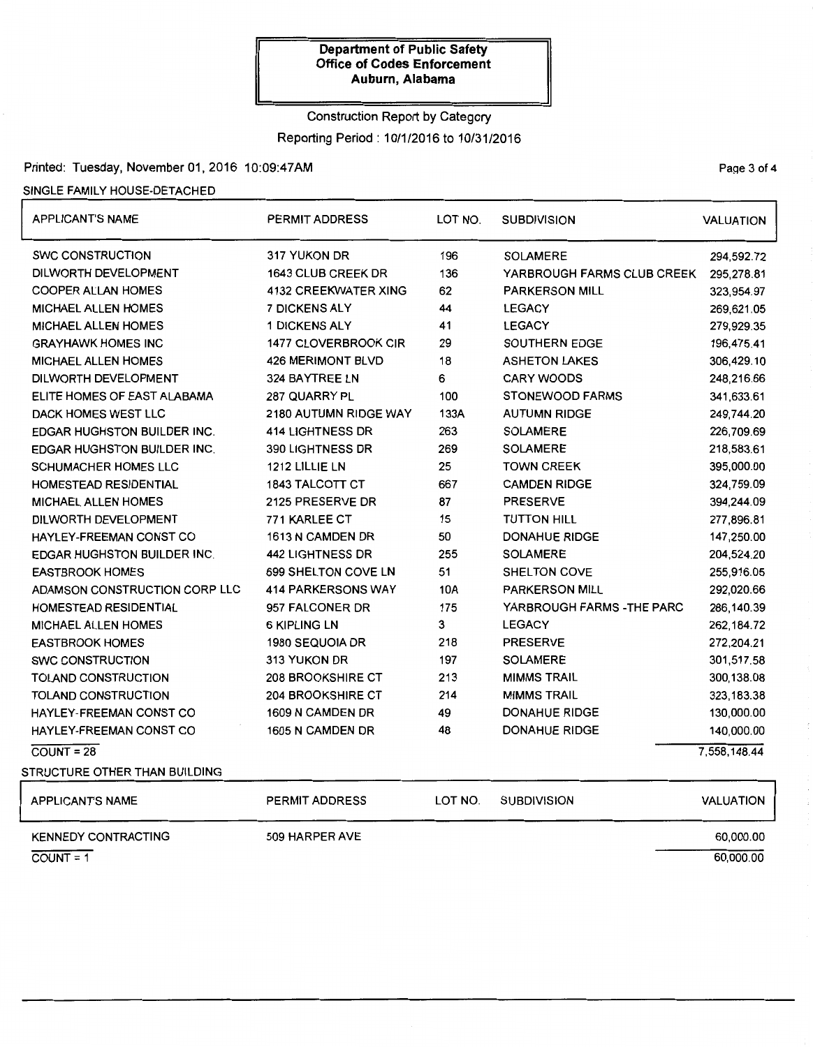#### Construction Report by Category

Reporting Period : 1 0/1/2016 to 1 0/31/2016

# Printed: Tuesday, November 01,2016 10:09:47AM

### SINGLE FAMILY HOUSE-DETACHED

| <b>APPLICANT'S NAME</b>            | <b>PERMIT ADDRESS</b>       | LOT NO. | <b>SUBDIVISION</b>         | <b>VALUATION</b> |
|------------------------------------|-----------------------------|---------|----------------------------|------------------|
| <b>SWC CONSTRUCTION</b>            | 317 YUKON DR                | 196     | <b>SOLAMERE</b>            | 294,592.72       |
| DILWORTH DEVELOPMENT               | 1643 CLUB CREEK DR          | 136     | YARBROUGH FARMS CLUB CREEK | 295,278.81       |
| <b>COOPER ALLAN HOMES</b>          | <b>4132 CREEKWATER XING</b> | 62      | <b>PARKERSON MILL</b>      | 323,954.97       |
| <b>MICHAEL ALLEN HOMES</b>         | <b>7 DICKENS ALY</b>        | 44      | <b>LEGACY</b>              | 269,621.05       |
| <b>MICHAEL ALLEN HOMES</b>         | <b>1 DICKENS ALY</b>        | 41      | <b>LEGACY</b>              | 279,929.35       |
| <b>GRAYHAWK HOMES INC</b>          | 1477 CLOVERBROOK CIR        | 29      | SOUTHERN EDGE              | 196,475.41       |
| <b>MICHAEL ALLEN HOMES</b>         | <b>426 MERIMONT BLVD</b>    | 18      | <b>ASHETON LAKES</b>       | 306,429.10       |
| DILWORTH DEVELOPMENT               | 324 BAYTREE LN              | 6       | <b>CARY WOODS</b>          | 248,216.66       |
| ELITE HOMES OF EAST ALABAMA        | 287 QUARRY PL               | 100     | <b>STONEWOOD FARMS</b>     | 341,633.61       |
| DACK HOMES WEST LLC                | 2180 AUTUMN RIDGE WAY       | 133A    | <b>AUTUMN RIDGE</b>        | 249,744.20       |
| <b>EDGAR HUGHSTON BUILDER INC.</b> | 414 LIGHTNESS DR            | 263     | <b>SOLAMERE</b>            | 226,709.69       |
| EDGAR HUGHSTON BUILDER INC.        | 390 LIGHTNESS DR            | 269     | <b>SOLAMERE</b>            | 218,583.61       |
| <b>SCHUMACHER HOMES LLC</b>        | 1212 LILLIE LN              | 25      | <b>TOWN CREEK</b>          | 395,000.00       |
| HOMESTEAD RESIDENTIAL              | 1843 TALCOTT CT             | 667     | <b>CAMDEN RIDGE</b>        | 324,759.09       |
| <b>MICHAEL ALLEN HOMES</b>         | 2125 PRESERVE DR            | 87      | <b>PRESERVE</b>            | 394,244.09       |
| DILWORTH DEVELOPMENT               | 771 KARLEE CT               | 15      | <b>TUTTON HILL</b>         | 277,896.81       |
| HAYLEY-FREEMAN CONST CO            | 1613 N CAMDEN DR            | 50      | <b>DONAHUE RIDGE</b>       | 147,250.00       |
| EDGAR HUGHSTON BUILDER INC.        | <b>442 LIGHTNESS DR</b>     | 255     | <b>SOLAMERE</b>            | 204,524.20       |
| <b>EASTBROOK HOMES</b>             | 699 SHELTON COVE LN         | 51      | <b>SHELTON COVE</b>        | 255,916.05       |
| ADAMSON CONSTRUCTION CORP LLC      | <b>414 PARKERSONS WAY</b>   | 10A     | <b>PARKERSON MILL</b>      | 292,020.66       |
| HOMESTEAD RESIDENTIAL              | 957 FALCONER DR             | 175     | YARBROUGH FARMS - THE PARC | 286,140.39       |
| <b>MICHAEL ALLEN HOMES</b>         | <b>6 KIPLING LN</b>         | 3       | <b>LEGACY</b>              | 262, 184.72      |
| <b>EASTBROOK HOMES</b>             | 1980 SEQUOIA DR             | 218     | <b>PRESERVE</b>            | 272,204.21       |
| SWC CONSTRUCTION                   | 313 YUKON DR                | 197     | <b>SOLAMERE</b>            | 301,517.58       |
| TOLAND CONSTRUCTION                | 208 BROOKSHIRE CT           | 213     | <b>MIMMS TRAIL</b>         | 300,138.08       |
| TOLAND CONSTRUCTION                | <b>204 BROOKSHIRE CT</b>    | 214     | <b>MIMMS TRAIL</b>         | 323,183.38       |
| HAYLEY-FREEMAN CONST CO            | 1609 N CAMDEN DR            | 49      | DONAHUE RIDGE              | 130,000.00       |
| HAYLEY-FREEMAN CONST CO            | 1605 N CAMDEN DR            | 48      | <b>DONAHUE RIDGE</b>       | 140,000.00       |
| $COUNT = 28$                       |                             |         |                            | 7,558,148.44     |
| STRUCTURE OTHER THAN BUILDING      |                             |         |                            |                  |
| APPLICANT'S NAME                   | PERMIT ADDRESS              | LOT NO. | <b>SUBDIVISION</b>         | <b>VALUATION</b> |
| <b>KENNEDY CONTRACTING</b>         | 509 HARPER AVE              |         |                            | 60,000.00        |
| $COUNT = 1$                        |                             |         |                            | 60,000.00        |

PaQe 3 of 4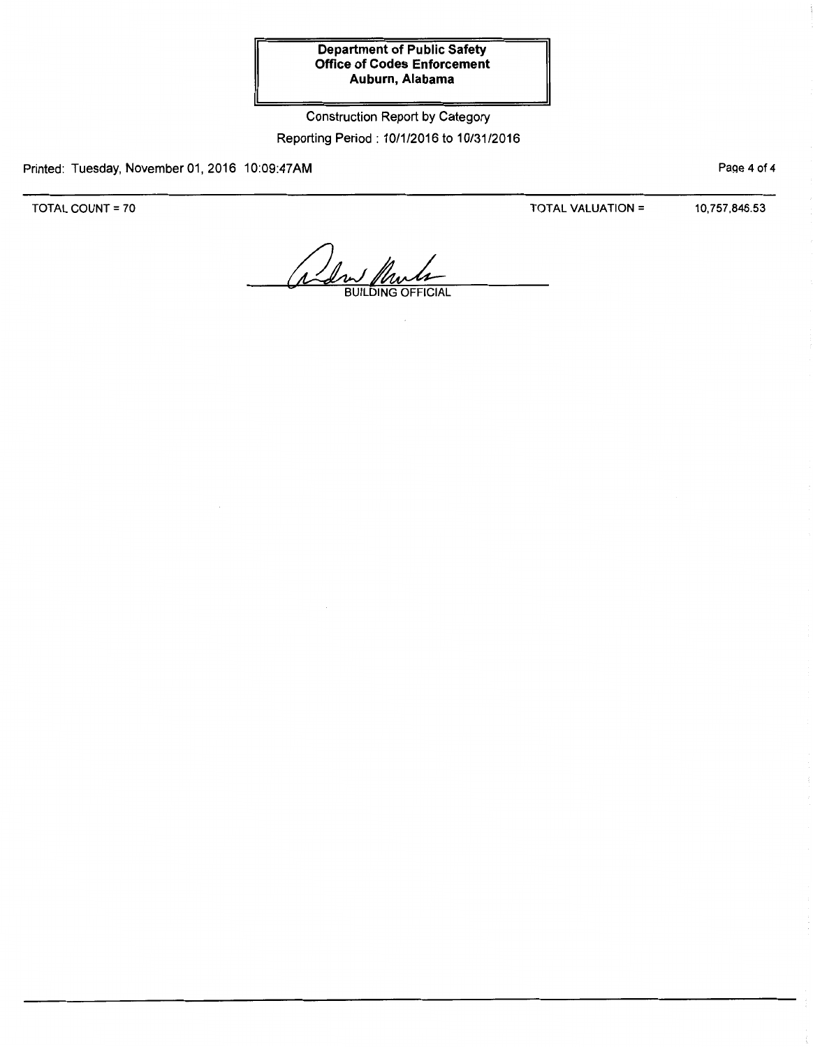Construction Report by Category Reporting Period: 10/1/2016 to 10/31/2016

Printed: Tuesday, November 01, 2016 10:09:47AM

TOTAL COUNT= 70

TOTAL VALUATION= 10,757,846.53

Page 4 of 4

Alan Plants